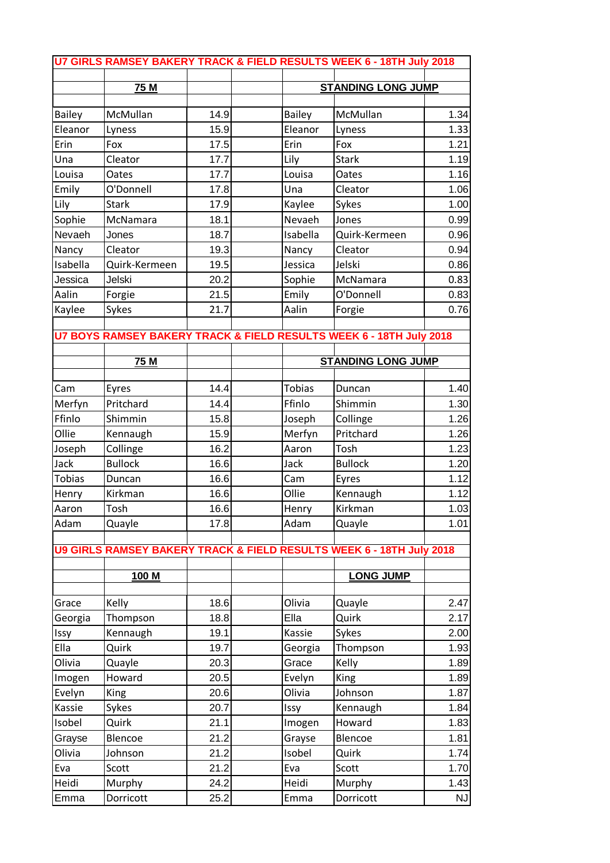|               |                |      |                           | U7 GIRLS RAMSEY BAKERY TRACK & FIELD RESULTS WEEK 6 - 18TH July 2018 |           |
|---------------|----------------|------|---------------------------|----------------------------------------------------------------------|-----------|
|               | 75 M           |      | <b>STANDING LONG JUMP</b> |                                                                      |           |
|               |                |      |                           |                                                                      |           |
| <b>Bailey</b> | McMullan       | 14.9 | <b>Bailey</b>             | McMullan                                                             | 1.34      |
| Eleanor       | Lyness         | 15.9 | Eleanor                   | Lyness                                                               | 1.33      |
| Erin          | Fox            | 17.5 | Erin                      | Fox                                                                  | 1.21      |
| Una           | Cleator        | 17.7 | Lily                      | <b>Stark</b>                                                         | 1.19      |
| Louisa        | Oates          | 17.7 | Louisa                    | Oates                                                                | 1.16      |
| Emily         | O'Donnell      | 17.8 | Una                       | Cleator                                                              | 1.06      |
| Lily          | <b>Stark</b>   | 17.9 | Kaylee                    | Sykes                                                                | 1.00      |
| Sophie        | McNamara       | 18.1 | Nevaeh                    | Jones                                                                | 0.99      |
| Nevaeh        | Jones          | 18.7 | Isabella                  | Quirk-Kermeen                                                        | 0.96      |
| Nancy         | Cleator        | 19.3 | Nancy                     | Cleator                                                              | 0.94      |
| Isabella      | Quirk-Kermeen  | 19.5 | Jessica                   | Jelski                                                               | 0.86      |
| Jessica       | Jelski         | 20.2 | Sophie                    | McNamara                                                             | 0.83      |
| Aalin         | Forgie         | 21.5 | Emily                     | O'Donnell                                                            | 0.83      |
| Kaylee        | Sykes          | 21.7 | Aalin                     | Forgie                                                               | 0.76      |
|               |                |      |                           |                                                                      |           |
|               |                |      |                           | U7 BOYS RAMSEY BAKERY TRACK & FIELD RESULTS WEEK 6 - 18TH July 2018  |           |
|               | 75 M           |      | <b>STANDING LONG JUMP</b> |                                                                      |           |
|               |                |      |                           |                                                                      |           |
| Cam           | Eyres          | 14.4 | <b>Tobias</b>             | Duncan                                                               | 1.40      |
| Merfyn        | Pritchard      | 14.4 | Ffinlo                    | Shimmin                                                              | 1.30      |
| Ffinlo        | Shimmin        | 15.8 | Joseph                    | Collinge                                                             | 1.26      |
| Ollie         | Kennaugh       | 15.9 | Merfyn                    | Pritchard                                                            | 1.26      |
| Joseph        | Collinge       | 16.2 | Aaron                     | Tosh                                                                 | 1.23      |
| Jack          | <b>Bullock</b> | 16.6 | Jack                      | <b>Bullock</b>                                                       | 1.20      |
| <b>Tobias</b> | Duncan         | 16.6 | Cam                       | Eyres                                                                | 1.12      |
| Henry         | Kirkman        | 16.6 | Ollie                     | Kennaugh                                                             | 1.12      |
| Aaron         | Tosh           | 16.6 | Henry                     | Kirkman                                                              | 1.03      |
| Adam          | Quayle         | 17.8 | Adam                      | Quayle                                                               | 1.01      |
|               |                |      |                           |                                                                      |           |
|               |                |      |                           | U9 GIRLS RAMSEY BAKERY TRACK & FIELD RESULTS WEEK 6 - 18TH July 2018 |           |
|               |                |      |                           |                                                                      |           |
|               | 100 M          |      |                           | LONG JUMP                                                            |           |
| Grace         | Kelly          | 18.6 | Olivia                    | Quayle                                                               | 2.47      |
| Georgia       | Thompson       | 18.8 | Ella                      | Quirk                                                                | 2.17      |
| Issy          | Kennaugh       | 19.1 | Kassie                    | Sykes                                                                | 2.00      |
| Ella          | Quirk          | 19.7 | Georgia                   | Thompson                                                             | 1.93      |
| Olivia        | Quayle         | 20.3 | Grace                     | Kelly                                                                | 1.89      |
| Imogen        | Howard         | 20.5 | Evelyn                    | King                                                                 | 1.89      |
| Evelyn        | King           | 20.6 | Olivia                    | Johnson                                                              | 1.87      |
| Kassie        | Sykes          | 20.7 | Issy                      | Kennaugh                                                             | 1.84      |
| Isobel        | Quirk          | 21.1 | Imogen                    | Howard                                                               | 1.83      |
| Grayse        | Blencoe        | 21.2 | Grayse                    | Blencoe                                                              | 1.81      |
| Olivia        | Johnson        | 21.2 | Isobel                    | Quirk                                                                | 1.74      |
| Eva           | Scott          | 21.2 | Eva                       | Scott                                                                | 1.70      |
| Heidi         | Murphy         | 24.2 | Heidi                     | Murphy                                                               | 1.43      |
| Emma          | Dorricott      | 25.2 | Emma                      | Dorricott                                                            | <b>NJ</b> |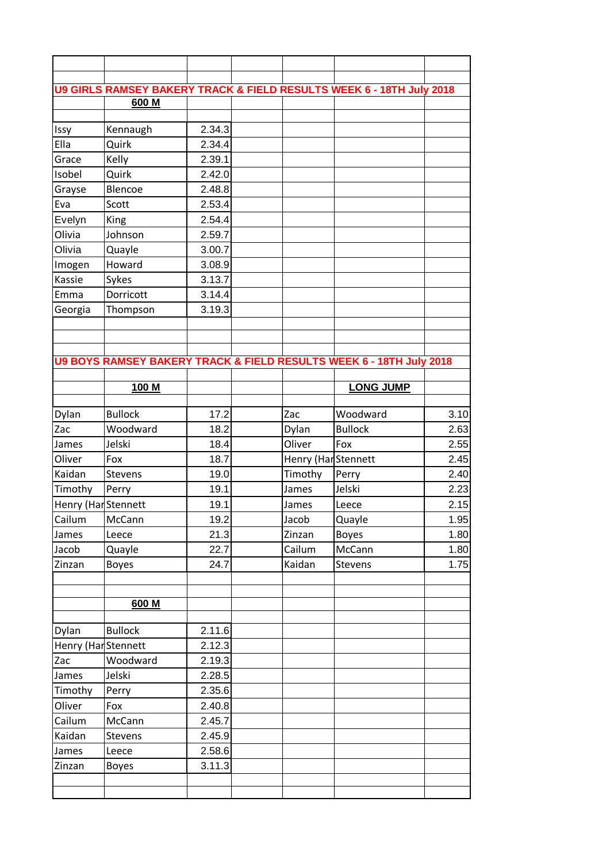|                     | 600 M                      |              |                     | U9 GIRLS RAMSEY BAKERY TRACK & FIELD RESULTS WEEK 6 - 18TH July 2018 |              |
|---------------------|----------------------------|--------------|---------------------|----------------------------------------------------------------------|--------------|
|                     |                            |              |                     |                                                                      |              |
| Issy                | Kennaugh                   | 2.34.3       |                     |                                                                      |              |
| Ella                | Quirk                      | 2.34.4       |                     |                                                                      |              |
| Grace               | Kelly                      | 2.39.1       |                     |                                                                      |              |
| Isobel              | Quirk                      | 2.42.0       |                     |                                                                      |              |
| Grayse              | Blencoe                    | 2.48.8       |                     |                                                                      |              |
| Eva                 | Scott                      | 2.53.4       |                     |                                                                      |              |
| Evelyn              | King                       | 2.54.4       |                     |                                                                      |              |
| Olivia              | Johnson                    | 2.59.7       |                     |                                                                      |              |
| Olivia              | Quayle                     | 3.00.7       |                     |                                                                      |              |
| Imogen              | Howard                     | 3.08.9       |                     |                                                                      |              |
| Kassie              | Sykes                      | 3.13.7       |                     |                                                                      |              |
| Emma                | Dorricott                  | 3.14.4       |                     |                                                                      |              |
| Georgia             | Thompson                   | 3.19.3       |                     |                                                                      |              |
|                     |                            |              |                     |                                                                      |              |
|                     |                            |              |                     |                                                                      |              |
|                     |                            |              |                     | U9 BOYS RAMSEY BAKERY TRACK & FIELD RESULTS WEEK 6 - 18TH July 2018  |              |
|                     |                            |              |                     |                                                                      |              |
|                     | 100 M                      |              |                     | <b>LONG JUMP</b>                                                     |              |
|                     |                            |              |                     |                                                                      |              |
| Dylan               | <b>Bullock</b><br>Woodward | 17.2<br>18.2 | Zac                 | Woodward<br><b>Bullock</b>                                           | 3.10         |
| Zac                 |                            |              | Dylan               |                                                                      | 2.63         |
| James               | Jelski                     | 18.4<br>18.7 | Oliver              | Fox                                                                  | 2.55         |
| Oliver<br>Kaidan    | Fox                        |              | Henry (Har Stennett |                                                                      | 2.45         |
|                     | <b>Stevens</b>             | 19.0         | Timothy             | Perry                                                                | 2.40         |
| Timothy             | Perry                      | 19.1<br>19.1 | James               | Jelski                                                               | 2.23<br>2.15 |
| Henry (Har Stennett |                            |              | James               | Leece                                                                |              |
| Cailum              | McCann                     | 19.2<br>21.3 | Jacob               | Quayle                                                               | 1.95<br>1.80 |
| James<br>Jacob      | Leece                      |              | Zinzan              | <b>Boyes</b><br>McCann                                               | 1.80         |
| Zinzan              | Quayle<br><b>Boyes</b>     | 22.7<br>24.7 | Cailum<br>Kaidan    | Stevens                                                              | 1.75         |
|                     |                            |              |                     |                                                                      |              |
|                     |                            |              |                     |                                                                      |              |
|                     | 600 M                      |              |                     |                                                                      |              |
|                     |                            |              |                     |                                                                      |              |
| Dylan               | <b>Bullock</b>             | 2.11.6       |                     |                                                                      |              |
| Henry (Har Stennett |                            | 2.12.3       |                     |                                                                      |              |
| Zac                 | Woodward                   | 2.19.3       |                     |                                                                      |              |
| James               | Jelski                     | 2.28.5       |                     |                                                                      |              |
| Timothy             | Perry                      | 2.35.6       |                     |                                                                      |              |
| Oliver              | Fox                        | 2.40.8       |                     |                                                                      |              |
| Cailum              | McCann                     | 2.45.7       |                     |                                                                      |              |
| Kaidan              | Stevens                    | 2.45.9       |                     |                                                                      |              |
| James               | Leece                      | 2.58.6       |                     |                                                                      |              |
| Zinzan              | <b>Boyes</b>               | 3.11.3       |                     |                                                                      |              |
|                     |                            |              |                     |                                                                      |              |
|                     |                            |              |                     |                                                                      |              |